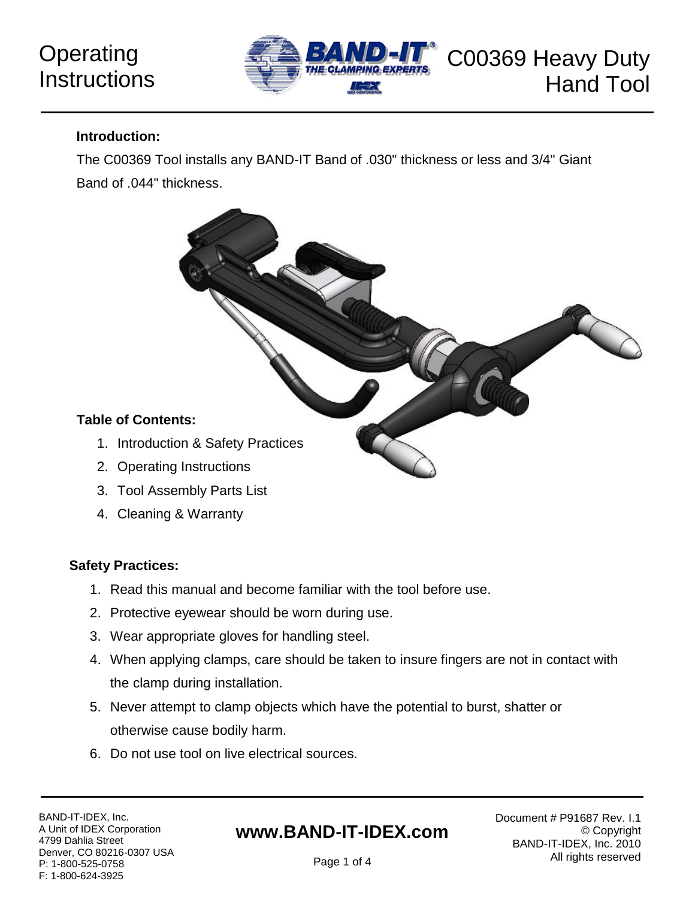# **Operating Instructions**



#### **Introduction:**

The C00369 Tool installs any BAND-IT Band of .030" thickness or less and 3/4" Giant Band of .044" thickness.



- 3. Tool Assembly Parts List
- 4. Cleaning & Warranty

### **Safety Practices:**

- 1. Read this manual and become familiar with the tool before use.
- 2. Protective eyewear should be worn during use.
- 3. Wear appropriate gloves for handling steel.
- 4. When applying clamps, care should be taken to insure fingers are not in contact with the clamp during installation.
- 5. Never attempt to clamp objects which have the potential to burst, shatter or otherwise cause bodily harm.
- 6. Do not use tool on live electrical sources.

### **www.BAND-IT-IDEX.com**

Page 1 of 4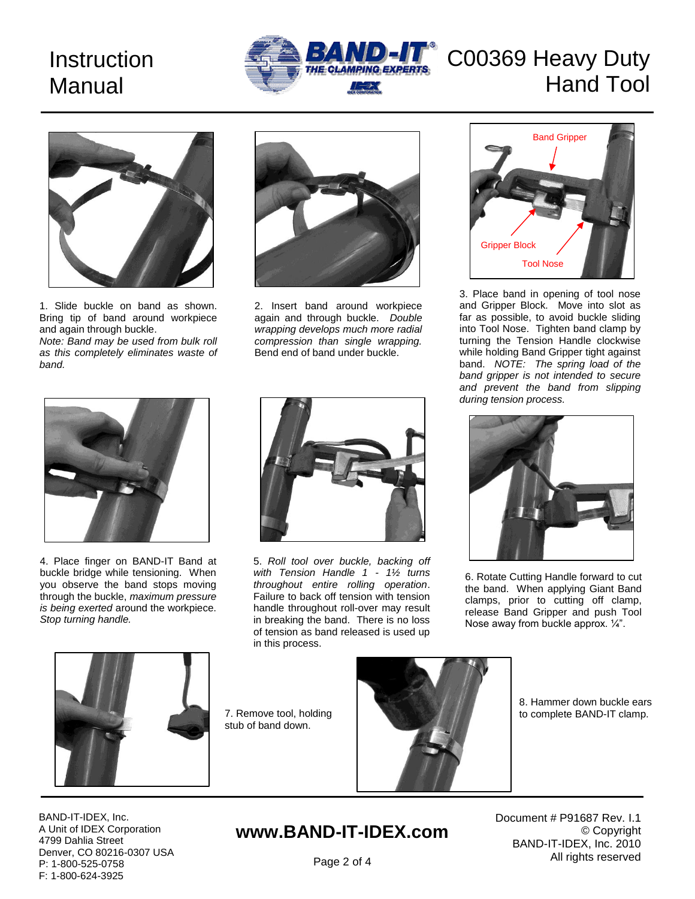# **Instruction** Manual



# C00369 Heavy Duty Hand Tool



1. Slide buckle on band as shown. Bring tip of band around workpiece and again through buckle.

*Note: Band may be used from bulk roll as this completely eliminates waste of band.*



2. Insert band around workpiece again and through buckle. *Double wrapping develops much more radial compression than single wrapping.*  Bend end of band under buckle.



3. Place band in opening of tool nose and Gripper Block. Move into slot as far as possible, to avoid buckle sliding into Tool Nose. Tighten band clamp by turning the Tension Handle clockwise while holding Band Gripper tight against band. *NOTE: The spring load of the band gripper is not intended to secure and prevent the band from slipping during tension process.*



4. Place finger on BAND-IT Band at buckle bridge while tensioning. When you observe the band stops moving through the buckle, *maximum pressure is being exerted* around the workpiece. *Stop turning handle.*



5. *Roll tool over buckle, backing off with Tension Handle 1 - 1½ turns throughout entire rolling operation*. Failure to back off tension with tension handle throughout roll-over may result in breaking the band. There is no loss of tension as band released is used up in this process.



6. Rotate Cutting Handle forward to cut the band. When applying Giant Band clamps, prior to cutting off clamp, release Band Gripper and push Tool Nose away from buckle approx. ¼".



7. Remove tool, holding stub of band down.



8. Hammer down buckle ears to complete BAND-IT clamp.

BAND-IT-IDEX, Inc. A Unit of IDEX Corporation 4799 Dahlia Street Denver, CO 80216-0307 USA P: 1-800-525-0758 F: 1-800-624-3925

## **www.BAND-IT-IDEX.com**

Document # P91687 Rev. I.1 © Copyright BAND-IT-IDEX, Inc. 2010 All rights reserved

Page 2 of 4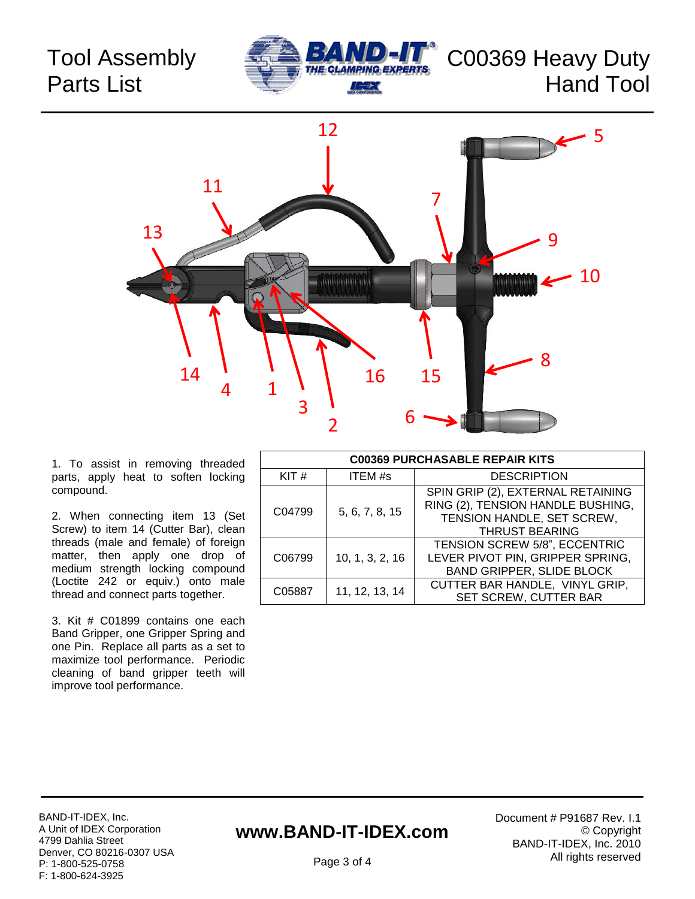## Tool Assembly Parts List





1. To assist in removing threaded parts, apply heat to soften locking compound.

2. When connecting item 13 (Set Screw) to item 14 (Cutter Bar), clean threads (male and female) of foreign matter, then apply one drop of medium strength locking compound (Loctite 242 or equiv.) onto male thread and connect parts together.

3. Kit # C01899 contains one each Band Gripper, one Gripper Spring and one Pin. Replace all parts as a set to maximize tool performance. Periodic cleaning of band gripper teeth will improve tool performance.

| <b>C00369 PURCHASABLE REPAIR KITS</b> |                 |                                                                                                                               |
|---------------------------------------|-----------------|-------------------------------------------------------------------------------------------------------------------------------|
| KIT#                                  | ITEM #s         | <b>DESCRIPTION</b>                                                                                                            |
| C04799                                | 5, 6, 7, 8, 15  | SPIN GRIP (2), EXTERNAL RETAINING<br>RING (2), TENSION HANDLE BUSHING,<br>TENSION HANDLE, SET SCREW,<br><b>THRUST BEARING</b> |
| C06799                                | 10, 1, 3, 2, 16 | TENSION SCREW 5/8", ECCENTRIC<br>LEVER PIVOT PIN, GRIPPER SPRING,<br><b>BAND GRIPPER, SLIDE BLOCK</b>                         |
| C05887                                | 11, 12, 13, 14  | CUTTER BAR HANDLE, VINYL GRIP,<br>SET SCREW, CUTTER BAR                                                                       |

### **www.BAND-IT-IDEX.com**

Document # P91687 Rev. I.1 © Copyright BAND-IT-IDEX, Inc. 2010 All rights reserved

Page 3 of 4